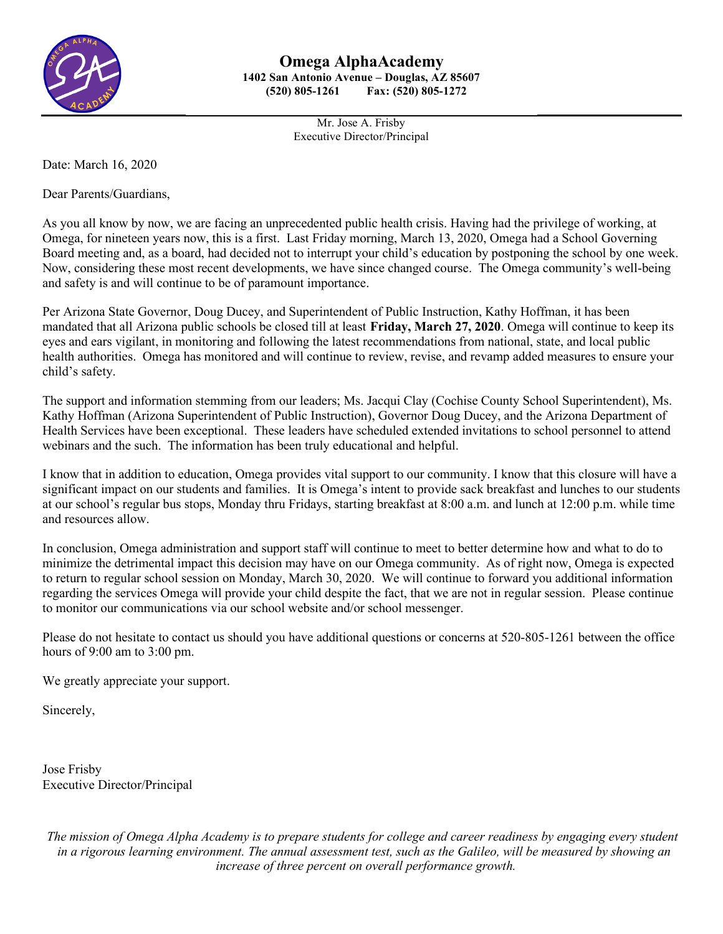

Mr. Jose A. Frisby Executive Director/Principal

Date: March 16, 2020

Dear Parents/Guardians,

As you all know by now, we are facing an unprecedented public health crisis. Having had the privilege of working, at Omega, for nineteen years now, this is a first. Last Friday morning, March 13, 2020, Omega had a School Governing Board meeting and, as a board, had decided not to interrupt your child's education by postponing the school by one week. Now, considering these most recent developments, we have since changed course. The Omega community's well-being and safety is and will continue to be of paramount importance.

Per Arizona State Governor, Doug Ducey, and Superintendent of Public Instruction, Kathy Hoffman, it has been mandated that all Arizona public schools be closed till at least **Friday, March 27, 2020**. Omega will continue to keep its eyes and ears vigilant, in monitoring and following the latest recommendations from national, state, and local public health authorities. Omega has monitored and will continue to review, revise, and revamp added measures to ensure your child's safety.

The support and information stemming from our leaders; Ms. Jacqui Clay (Cochise County School Superintendent), Ms. Kathy Hoffman (Arizona Superintendent of Public Instruction), Governor Doug Ducey, and the Arizona Department of Health Services have been exceptional. These leaders have scheduled extended invitations to school personnel to attend webinars and the such. The information has been truly educational and helpful.

I know that in addition to education, Omega provides vital support to our community. I know that this closure will have a significant impact on our students and families. It is Omega's intent to provide sack breakfast and lunches to our students at our school's regular bus stops, Monday thru Fridays, starting breakfast at 8:00 a.m. and lunch at 12:00 p.m. while time and resources allow.

In conclusion, Omega administration and support staff will continue to meet to better determine how and what to do to minimize the detrimental impact this decision may have on our Omega community. As of right now, Omega is expected to return to regular school session on Monday, March 30, 2020. We will continue to forward you additional information regarding the services Omega will provide your child despite the fact, that we are not in regular session. Please continue to monitor our communications via our school website and/or school messenger.

Please do not hesitate to contact us should you have additional questions or concerns at 520-805-1261 between the office hours of 9:00 am to 3:00 pm.

We greatly appreciate your support.

Sincerely,

Jose Frisby Executive Director/Principal

*The mission of Omega Alpha Academy is to prepare students for college and career readiness by engaging every student in a rigorous learning environment. The annual assessment test, such as the Galileo, will be measured by showing an increase of three percent on overall performance growth.*